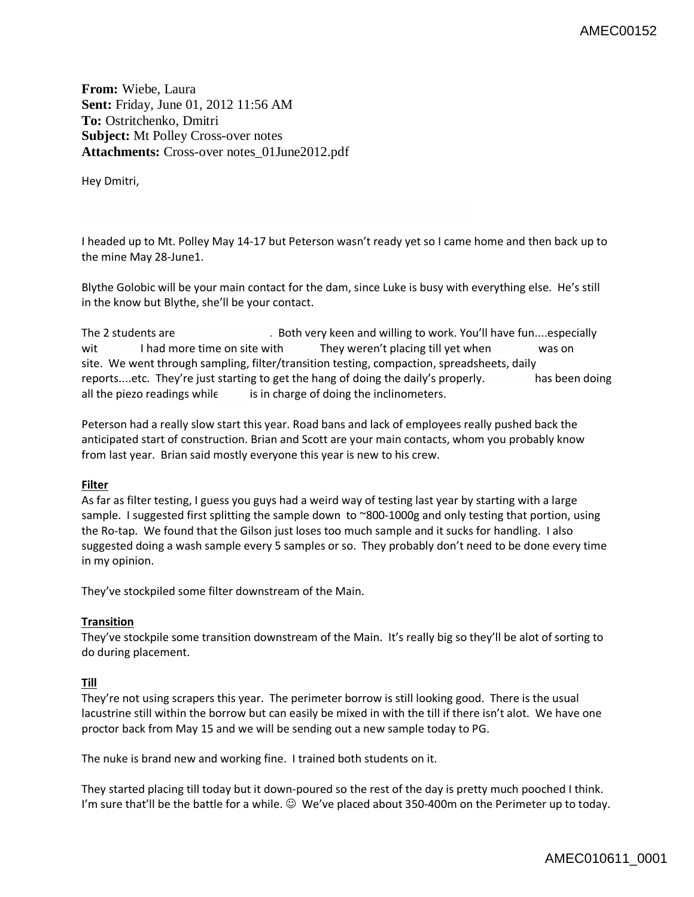**From:** Wiebe, Laura **Sent:** Friday, June 01, 2012 11:56 AM **To:** Ostritchenko, Dmitri **Subject:** Mt Polley Cross-over notes **Attachments:** Cross-over notes\_01June2012.pdf

Hey Dmitri,

I headed up to Mt. Polley May 14-17 but Peterson wasn't ready yet so I came home and then back up to the mine May 28-June1.

Blythe Golobic will be your main contact for the dam, since Luke is busy with everything else. He's still in the know but Blythe, she'll be your contact.

```
The 2 students are . Both very keen and willing to work. You'll have fun....especially
wit I had more time on site with They weren't placing till yet when was on
site. We went through sampling, filter/transition testing, compaction, spreadsheets, daily 
reports....etc. They're just starting to get the hang of doing the daily's properly. has been doing 
all the piezo readings while is in charge of doing the inclinometers.
```
Peterson had a really slow start this year. Road bans and lack of employees really pushed back the anticipated start of construction. Brian and Scott are your main contacts, whom you probably know from last year. Brian said mostly everyone this year is new to his crew.

## **Filter**

As far as filter testing, I guess you guys had a weird way of testing last year by starting with a large sample. I suggested first splitting the sample down to ~800-1000g and only testing that portion, using the Ro-tap. We found that the Gilson just loses too much sample and it sucks for handling. I also suggested doing a wash sample every 5 samples or so. They probably don't need to be done every time in my opinion.

They've stockpiled some filter downstream of the Main.

## **Transition**

They've stockpile some transition downstream of the Main. It's really big so they'll be alot of sorting to do during placement.

## **Till**

They're not using scrapers this year. The perimeter borrow is still looking good. There is the usual lacustrine still within the borrow but can easily be mixed in with the till if there isn't alot. We have one proctor back from May 15 and we will be sending out a new sample today to PG.

The nuke is brand new and working fine. I trained both students on it.

They started placing till today but it down-poured so the rest of the day is pretty much pooched I think. I'm sure that'll be the battle for a while.  $\odot$  We've placed about 350-400m on the Perimeter up to today.